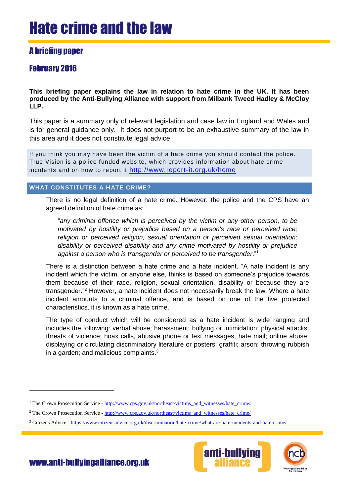## A briefing paper

## February 2016

**This briefing paper explains the law in relation to hate crime in the UK. It has been produced by the Anti-Bullying Alliance with support from Milbank Tweed Hadley & McCloy LLP.**

This paper is a summary only of relevant legislation and case law in England and Wales and is for general guidance only. It does not purport to be an exhaustive summary of the law in this area and it does not constitute legal advice.

If you think you may have been the victim of a hate crime you should contact the police. True Vision is a police funded website, which provides information about hate crime incidents and on how to report it <http://www.report-it.org.uk/home>

## **WHAT CONSTITUTES A HATE CRIME?**

There is no legal definition of a hate crime. However, the police and the CPS have an agreed definition of hate crime as:

"*any criminal offence which is perceived by the victim or any other person, to be motivated by hostility or prejudice based on a person's race or perceived race; religion or perceived religion; sexual orientation or perceived sexual orientation; disability or perceived disability and any crime motivated by hostility or prejudice against a person who is transgender or perceived to be transgender*."<sup>1</sup>

There is a distinction between a hate crime and a hate incident. "A hate incident is any incident which the victim, or anyone else, thinks is based on someone's prejudice towards them because of their race, religion, sexual orientation, disability or because they are transgender."<sup>2</sup> However, a hate incident does not necessarily break the law. Where a hate incident amounts to a criminal offence, and is based on one of the five protected characteristics, it is known as a hate crime.

The type of conduct which will be considered as a hate incident is wide ranging and includes the following: verbal abuse; harassment; bullying or intimidation; physical attacks; threats of violence; hoax calls, abusive phone or text messages, hate mail; online abuse; displaying or circulating discriminatory literature or posters; graffiti; arson; throwing rubbish in a garden; and malicious complaints.<sup>3</sup>

<sup>3</sup> Citizens Advice - <https://www.citizensadvice.org.uk/discrimination/hate-crime/what-are-hate-incidents-and-hate-crime/>



www.anti-bullyingalliance.org.uk

<sup>&</sup>lt;sup>1</sup> The Crown Prosecution Service - [http://www.cps.gov.uk/northeast/victims\\_and\\_witnesses/hate\\_crime/](http://www.cps.gov.uk/northeast/victims_and_witnesses/hate_crime/)

<sup>&</sup>lt;sup>2</sup> The Crown Prosecution Service - [http://www.cps.gov.uk/northeast/victims\\_and\\_witnesses/hate\\_crime/](http://www.cps.gov.uk/northeast/victims_and_witnesses/hate_crime/)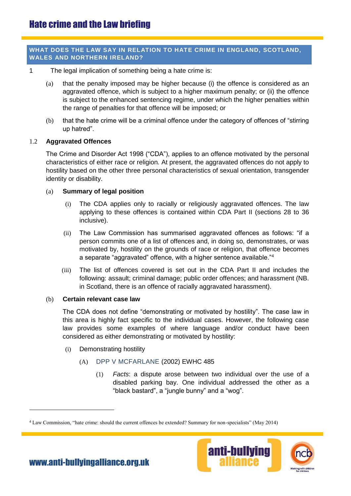## **WHAT DOES THE LAW SAY IN RELATION TO HATE CRIME IN ENGLAND, SCOTLAND, WALES AND NORTHERN IRELAND?**

- 1 The legal implication of something being a hate crime is:
	- (a) that the penalty imposed may be higher because (i) the offence is considered as an aggravated offence, which is subject to a higher maximum penalty; or (ii) the offence is subject to the enhanced sentencing regime, under which the higher penalties within the range of penalties for that offence will be imposed; or
	- (b) that the hate crime will be a criminal offence under the category of offences of "stirring up hatred".

#### 1.2 **Aggravated Offences**

The Crime and Disorder Act 1998 ("CDA"), applies to an offence motivated by the personal characteristics of either race or religion. At present, the aggravated offences do not apply to hostility based on the other three personal characteristics of sexual orientation, transgender identity or disability.

#### (a) **Summary of legal position**

- (i) The CDA applies only to racially or religiously aggravated offences. The law applying to these offences is contained within CDA Part II (sections 28 to 36 inclusive).
- (ii) The Law Commission has summarised aggravated offences as follows: "if a person commits one of a list of offences and, in doing so, demonstrates, or was motivated by, hostility on the grounds of race or religion, that offence becomes a separate "aggravated" offence, with a higher sentence available."<sup>4</sup>
- (iii) The list of offences covered is set out in the CDA Part II and includes the following: assault; criminal damage; public order offences; and harassment (NB. in Scotland, there is an offence of racially aggravated harassment).

#### (b) **Certain relevant case law**

The CDA does not define "demonstrating or motivated by hostility". The case law in this area is highly fact specific to the individual cases. However, the following case law provides some examples of where language and/or conduct have been considered as either demonstrating or motivated by hostility:

- (i) Demonstrating hostility
	- (A) DPP V MCFARLANE (2002) EWHC 485
		- (1) *Facts*: a dispute arose between two individual over the use of a disabled parking bay. One individual addressed the other as a "black bastard", a "jungle bunny" and a "wog".

<sup>4</sup> Law Commission, "hate crime: should the current offences be extended? Summary for non-specialists" (May 2014)



[www.anti-bullyingalliance.org.uk](http://www.anti-bullyingallianceorg.uk/)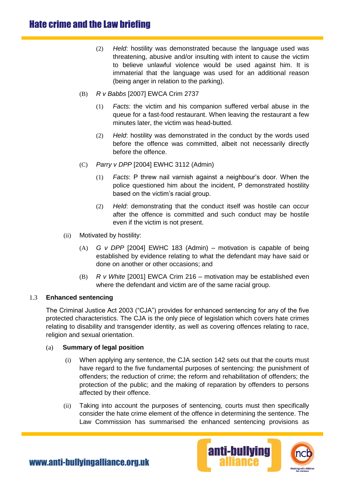- (2) *Held*: hostility was demonstrated because the language used was threatening, abusive and/or insulting with intent to cause the victim to believe unlawful violence would be used against him. It is immaterial that the language was used for an additional reason (being anger in relation to the parking).
- (B) *R v Babbs* [2007] EWCA Crim 2737
	- (1) *Facts:* the victim and his companion suffered verbal abuse in the queue for a fast-food restaurant. When leaving the restaurant a few minutes later, the victim was head-butted.
	- (2) *Held*: hostility was demonstrated in the conduct by the words used before the offence was committed, albeit not necessarily directly before the offence.
- (C) *Parry v DPP* [2004] EWHC 3112 (Admin)
	- (1) *Facts*: P threw nail varnish against a neighbour's door. When the police questioned him about the incident, P demonstrated hostility based on the victim's racial group.
	- (2) *Held*: demonstrating that the conduct itself was hostile can occur after the offence is committed and such conduct may be hostile even if the victim is not present.
- (ii) Motivated by hostility:
	- (A) *G v DPP* [2004] EWHC 183 (Admin) motivation is capable of being established by evidence relating to what the defendant may have said or done on another or other occasions; and
	- (B) *R v White* [2001] EWCA Crim 216 motivation may be established even where the defendant and victim are of the same racial group.

## 1.3 **Enhanced sentencing**

The Criminal Justice Act 2003 ("CJA") provides for enhanced sentencing for any of the five protected characteristics. The CJA is the only piece of legislation which covers hate crimes relating to disability and transgender identity, as well as covering offences relating to race, religion and sexual orientation.

## (a) **Summary of legal position**

- (i) When applying any sentence, the CJA section 142 sets out that the courts must have regard to the five fundamental purposes of sentencing: the punishment of offenders; the reduction of crime; the reform and rehabilitation of offenders; the protection of the public; and the making of reparation by offenders to persons affected by their offence.
- (ii) Taking into account the purposes of sentencing, courts must then specifically consider the hate crime element of the offence in determining the sentence. The Law Commission has summarised the enhanced sentencing provisions as



[www.anti-bullyingalliance.org.uk](http://www.anti-bullyingallianceorg.uk/)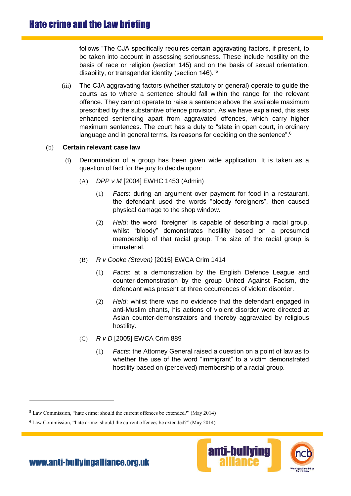follows "The CJA specifically requires certain aggravating factors, if present, to be taken into account in assessing seriousness. These include hostility on the basis of race or religion (section 145) and on the basis of sexual orientation, disability, or transgender identity (section 146)."<sup>5</sup>

(iii) The CJA aggravating factors (whether statutory or general) operate to guide the courts as to where a sentence should fall within the range for the relevant offence. They cannot operate to raise a sentence above the available maximum prescribed by the substantive offence provision. As we have explained, this sets enhanced sentencing apart from aggravated offences, which carry higher maximum sentences. The court has a duty to "state in open court, in ordinary language and in general terms, its reasons for deciding on the sentence".<sup>6</sup>

## (b) **Certain relevant case law**

- (i) Denomination of a group has been given wide application. It is taken as a question of fact for the jury to decide upon:
	- (A) *DPP v M* [2004] EWHC 1453 (Admin)
		- (1) *Facts*: during an argument over payment for food in a restaurant, the defendant used the words "bloody foreigners", then caused physical damage to the shop window.
		- (2) *Held*: the word "foreigner" is capable of describing a racial group, whilst "bloody" demonstrates hostility based on a presumed membership of that racial group. The size of the racial group is immaterial.
	- (B) *R v Cooke (Steven)* [2015] EWCA Crim 1414
		- (1) *Facts*: at a demonstration by the English Defence League and counter-demonstration by the group United Against Facism, the defendant was present at three occurrences of violent disorder.
		- (2) *Held*: whilst there was no evidence that the defendant engaged in anti-Muslim chants, his actions of violent disorder were directed at Asian counter-demonstrators and thereby aggravated by religious hostility.
	- (C) *R v D* [2005] EWCA Crim 889
		- (1) *Facts*: the Attorney General raised a question on a point of law as to whether the use of the word "immigrant" to a victim demonstrated hostility based on (perceived) membership of a racial group.

<sup>6</sup> Law Commission, "hate crime: should the current offences be extended?" (May 2014)



<sup>5</sup> Law Commission, "hate crime: should the current offences be extended?" (May 2014)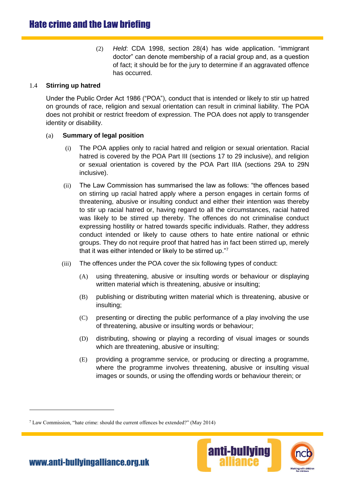(2) *Held*: CDA 1998, section 28(4) has wide application. "immigrant doctor" can denote membership of a racial group and, as a question of fact; it should be for the jury to determine if an aggravated offence has occurred.

## 1.4 **Stirring up hatred**

Under the Public Order Act 1986 ("POA"), conduct that is intended or likely to stir up hatred on grounds of race, religion and sexual orientation can result in criminal liability. The POA does not prohibit or restrict freedom of expression. The POA does not apply to transgender identity or disability.

## (a) **Summary of legal position**

- (i) The POA applies only to racial hatred and religion or sexual orientation. Racial hatred is covered by the POA Part III (sections 17 to 29 inclusive), and religion or sexual orientation is covered by the POA Part IIIA (sections 29A to 29N inclusive).
- (ii) The Law Commission has summarised the law as follows: "the offences based on stirring up racial hatred apply where a person engages in certain forms of threatening, abusive or insulting conduct and either their intention was thereby to stir up racial hatred or, having regard to all the circumstances, racial hatred was likely to be stirred up thereby. The offences do not criminalise conduct expressing hostility or hatred towards specific individuals. Rather, they address conduct intended or likely to cause others to hate entire national or ethnic groups. They do not require proof that hatred has in fact been stirred up, merely that it was either intended or likely to be stirred up."<sup>7</sup>
- (iii) The offences under the POA cover the six following types of conduct:
	- (A) using threatening, abusive or insulting words or behaviour or displaying written material which is threatening, abusive or insulting;
	- (B) publishing or distributing written material which is threatening, abusive or insulting;
	- (C) presenting or directing the public performance of a play involving the use of threatening, abusive or insulting words or behaviour;
	- (D) distributing, showing or playing a recording of visual images or sounds which are threatening, abusive or insulting:
	- (E) providing a programme service, or producing or directing a programme, where the programme involves threatening, abusive or insulting visual images or sounds, or using the offending words or behaviour therein; or

<sup>7</sup> Law Commission, "hate crime: should the current offences be extended?" (May 2014)



[www.anti-bullyingalliance.org.uk](http://www.anti-bullyingallianceorg.uk/)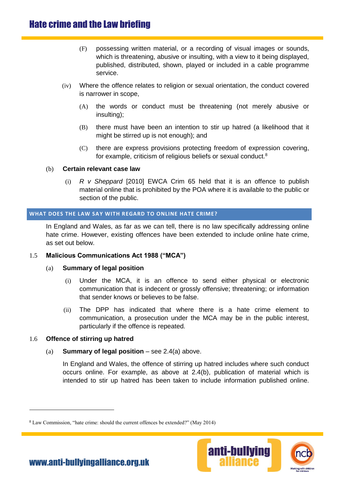# Hate crime and the Law briefing

- (F) possessing written material, or a recording of visual images or sounds, which is threatening, abusive or insulting, with a view to it being displayed, published, distributed, shown, played or included in a cable programme service.
- (iv) Where the offence relates to religion or sexual orientation, the conduct covered is narrower in scope,
	- (A) the words or conduct must be threatening (not merely abusive or insulting);
	- (B) there must have been an intention to stir up hatred (a likelihood that it might be stirred up is not enough); and
	- (C) there are express provisions protecting freedom of expression covering, for example, criticism of religious beliefs or sexual conduct.<sup>8</sup>

#### (b) **Certain relevant case law**

(i) *R v Sheppard* [2010] EWCA Crim 65 held that it is an offence to publish material online that is prohibited by the POA where it is available to the public or section of the public.

#### **WHAT DOES THE LAW SAY WITH REGARD TO ONLINE HATE CRIME?**

In England and Wales, as far as we can tell, there is no law specifically addressing online hate crime. However, existing offences have been extended to include online hate crime, as set out below.

## 1.5 **Malicious Communications Act 1988 ("MCA")**

## (a) **Summary of legal position**

- (i) Under the MCA, it is an offence to send either physical or electronic communication that is indecent or grossly offensive; threatening; or information that sender knows or believes to be false.
- (ii) The DPP has indicated that where there is a hate crime element to communication, a prosecution under the MCA may be in the public interest, particularly if the offence is repeated.

## 1.6 **Offence of stirring up hatred**

 $\overline{a}$ 

## (a) **Summary of legal position** – see 2.4(a) above.

In England and Wales, the offence of stirring up hatred includes where such conduct occurs online. For example, as above at 2.4(b), publication of material which is intended to stir up hatred has been taken to include information published online.

<sup>8</sup> Law Commission, "hate crime: should the current offences be extended?" (May 2014)



[www.anti-bullyingalliance.org.uk](http://www.anti-bullyingallianceorg.uk/)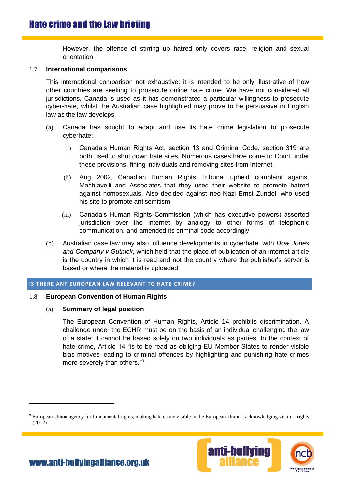However, the offence of stirring up hatred only covers race, religion and sexual orientation.

#### 1.7 **International comparisons**

This international comparison not exhaustive: it is intended to be only illustrative of how other countries are seeking to prosecute online hate crime. We have not considered all jurisdictions. Canada is used as it has demonstrated a particular willingness to prosecute cyber-hate, whilst the Australian case highlighted may prove to be persuasive in English law as the law develops.

- (a) Canada has sought to adapt and use its hate crime legislation to prosecute cyberhate:
	- (i) Canada's Human Rights Act, section 13 and Criminal Code, section 319 are both used to shut down hate sites. Numerous cases have come to Court under these provisions, fining individuals and removing sites from Internet.
	- (ii) Aug 2002, Canadian Human Rights Tribunal upheld complaint against Machiavelli and Associates that they used their website to promote hatred against homosexuals. Also decided against neo-Nazi Ernst Zundel, who used his site to promote antisemitism.
	- (iii) Canada's Human Rights Commission (which has executive powers) asserted jurisdiction over the Internet by analogy to other forms of telephonic communication, and amended its criminal code accordingly.
- (b) Australian case law may also influence developments in cyberhate, with *Dow Jones and Company v Gutnick*, which held that the place of publication of an internet article is the country in which it is read and not the country where the publisher's server is based or where the material is uploaded.

## **IS THERE ANY EUROPEAN LAW RELEVANT TO HATE CRIME?**

#### 1.8 **European Convention of Human Rights**

#### (a) **Summary of legal position**

The European Convention of Human Rights, Article 14 prohibits discrimination. A challenge under the ECHR must be on the basis of an individual challenging the law of a state: it cannot be based solely on two individuals as parties. In the context of hate crime, Article 14 "is to be read as obliging EU Member States to render visible bias motives leading to criminal offences by highlighting and punishing hate crimes more severely than others."<sup>9</sup>

<sup>9</sup> European Union agency for fundamental rights, making hate crime visible in the European Union - acknowledging victim's rights (2012)

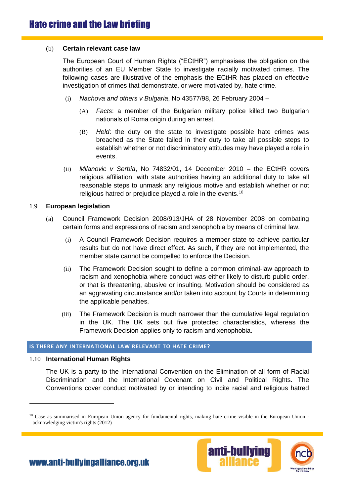#### (b) **Certain relevant case law**

The European Court of Human Rights ("ECtHR") emphasises the obligation on the authorities of an EU Member State to investigate racially motivated crimes. The following cases are illustrative of the emphasis the ECtHR has placed on effective investigation of crimes that demonstrate, or were motivated by, hate crime.

- (i) *Nachova and others v Bulgaria*, No 43577/98, 26 February 2004
	- (A) *Facts*: a member of the Bulgarian military police killed two Bulgarian nationals of Roma origin during an arrest.
	- (B) *Held*: the duty on the state to investigate possible hate crimes was breached as the State failed in their duty to take all possible steps to establish whether or not discriminatory attitudes may have played a role in events.
- (ii) *Milanovic v Serbia*, No 74832/01, 14 December 2010 the ECtHR covers religious affiliation, with state authorities having an additional duty to take all reasonable steps to unmask any religious motive and establish whether or not religious hatred or prejudice played a role in the events.<sup>10</sup>

#### 1.9 **European legislation**

- (a) Council Framework Decision 2008/913/JHA of 28 November 2008 on combating certain forms and expressions of racism and xenophobia by means of criminal law.
	- (i) A Council Framework Decision requires a member state to achieve particular results but do not have direct effect. As such, if they are not implemented, the member state cannot be compelled to enforce the Decision.
	- (ii) The Framework Decision sought to define a common criminal-law approach to racism and xenophobia where conduct was either likely to disturb public order, or that is threatening, abusive or insulting. Motivation should be considered as an aggravating circumstance and/or taken into account by Courts in determining the applicable penalties.
	- (iii) The Framework Decision is much narrower than the cumulative legal regulation in the UK. The UK sets out five protected characteristics, whereas the Framework Decision applies only to racism and xenophobia.

#### **IS THERE ANY INTERNATIONAL LAW RELEVANT TO HATE CRIME?**

#### 1.10 **International Human Rights**

 $\overline{a}$ 

The UK is a party to the International Convention on the Elimination of all form of Racial Discrimination and the International Covenant on Civil and Political Rights. The Conventions cover conduct motivated by or intending to incite racial and religious hatred

<sup>&</sup>lt;sup>10</sup> Case as summarised in European Union agency for fundamental rights, making hate crime visible in the European Union acknowledging victim's rights (2012)

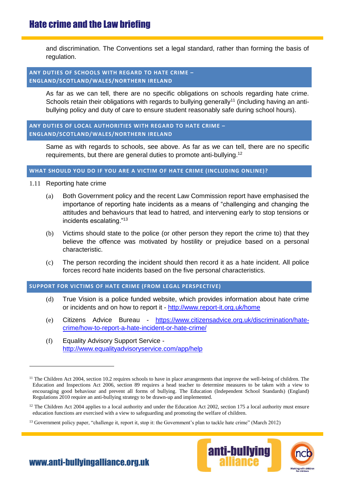## Hate crime and the Law briefing

and discrimination. The Conventions set a legal standard, rather than forming the basis of regulation.

#### **ANY DUTIES OF SCHOOLS WITH REGARD TO HATE CRIME – ENGLAND/SCOTLAND/WALES/NORTHERN IRELAND**

As far as we can tell, there are no specific obligations on schools regarding hate crime. Schools retain their obligations with regards to bullying generally<sup>11</sup> (including having an antibullying policy and duty of care to ensure student reasonably safe during school hours).

## **ANY DUTIES OF LOCAL AUTHORITIES WITH REGARD TO HATE CRIME – ENGLAND/SCOTLAND/WALES/NORTHERN IRELAND**

Same as with regards to schools, see above. As far as we can tell, there are no specific requirements, but there are general duties to promote anti-bullying.<sup>12</sup>

#### **WHAT SHOULD YOU DO IF YOU ARE A VICTIM OF HATE CRIME (INCLUDING ONLINE)?**

1.11 Reporting hate crime

 $\overline{a}$ 

- (a) Both Government policy and the recent Law Commission report have emphasised the importance of reporting hate incidents as a means of "challenging and changing the attitudes and behaviours that lead to hatred, and intervening early to stop tensions or incidents escalating."<sup>13</sup>
- (b) Victims should state to the police (or other person they report the crime to) that they believe the offence was motivated by hostility or prejudice based on a personal characteristic.
- (c) The person recording the incident should then record it as a hate incident. All police forces record hate incidents based on the five personal characteristics.

## **SUPPORT FOR VICTIMS OF HATE CRIME (FROM LEGAL PERSPECTIVE)**

- (d) True Vision is a police funded website, which provides information about hate crime or incidents and on how to report it - <http://www.report-it.org.uk/home>
- (e) Citizens Advice Bureau [https://www.citizensadvice.org.uk/discrimination/hate](https://www.citizensadvice.org.uk/discrimination/hate-crime/how-to-report-a-hate-incident-or-hate-crime/)[crime/how-to-report-a-hate-incident-or-hate-crime/](https://www.citizensadvice.org.uk/discrimination/hate-crime/how-to-report-a-hate-incident-or-hate-crime/)
- (f) Equality Advisory Support Service <http://www.equalityadvisoryservice.com/app/help>

<sup>&</sup>lt;sup>13</sup> Government policy paper, "challenge it, report it, stop it: the Government's plan to tackle hate crime" (March 2012)



[www.anti-bullyingalliance.org.uk](http://www.anti-bullyingallianceorg.uk/)

<sup>&</sup>lt;sup>11</sup> The Children Act 2004, section 10.2 requires schools to have in place arrangements that improve the well-being of children. The Education and Inspections Act 2006, section 89 requires a head teacher to determine measures to be taken with a view to encouraging good behaviour and prevent all forms of bullying. The Education (Independent School Standards) (England) Regulations 2010 require an anti-bullying strategy to be drawn-up and implemented.

<sup>&</sup>lt;sup>12</sup> The Children Act 2004 applies to a local authority and under the Education Act 2002, section 175 a local authority must ensure education functions are exercised with a view to safeguarding and promoting the welfare of children.